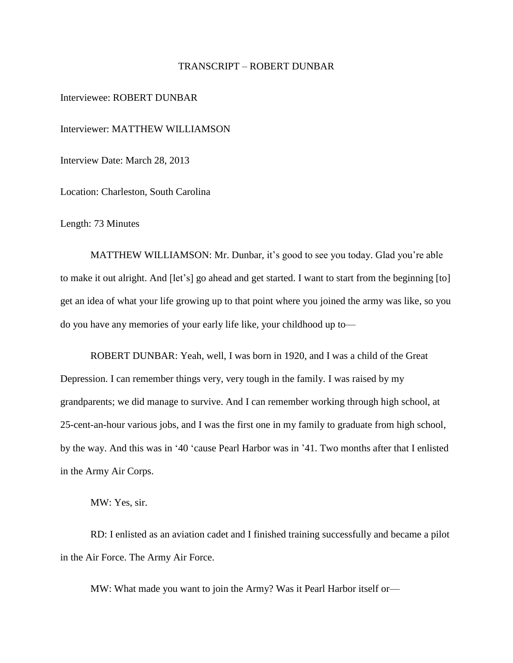### TRANSCRIPT – ROBERT DUNBAR

### Interviewee: ROBERT DUNBAR

Interviewer: MATTHEW WILLIAMSON

Interview Date: March 28, 2013

Location: Charleston, South Carolina

Length: 73 Minutes

MATTHEW WILLIAMSON: Mr. Dunbar, it's good to see you today. Glad you're able to make it out alright. And [let's] go ahead and get started. I want to start from the beginning [to] get an idea of what your life growing up to that point where you joined the army was like, so you do you have any memories of your early life like, your childhood up to—

ROBERT DUNBAR: Yeah, well, I was born in 1920, and I was a child of the Great Depression. I can remember things very, very tough in the family. I was raised by my grandparents; we did manage to survive. And I can remember working through high school, at 25-cent-an-hour various jobs, and I was the first one in my family to graduate from high school, by the way. And this was in '40 'cause Pearl Harbor was in '41. Two months after that I enlisted in the Army Air Corps.

MW: Yes, sir.

RD: I enlisted as an aviation cadet and I finished training successfully and became a pilot in the Air Force. The Army Air Force.

MW: What made you want to join the Army? Was it Pearl Harbor itself or—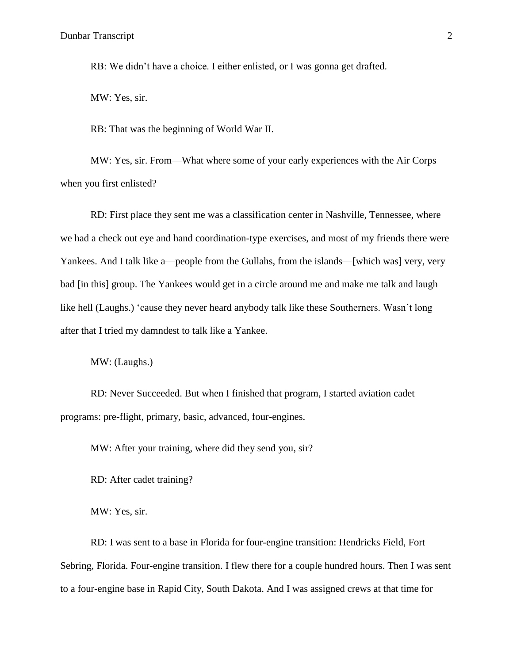RB: We didn't have a choice. I either enlisted, or I was gonna get drafted.

MW: Yes, sir.

RB: That was the beginning of World War II.

MW: Yes, sir. From—What where some of your early experiences with the Air Corps when you first enlisted?

RD: First place they sent me was a classification center in Nashville, Tennessee, where we had a check out eye and hand coordination-type exercises, and most of my friends there were Yankees. And I talk like a—people from the Gullahs, from the islands—[which was] very, very bad [in this] group. The Yankees would get in a circle around me and make me talk and laugh like hell (Laughs.) 'cause they never heard anybody talk like these Southerners. Wasn't long after that I tried my damndest to talk like a Yankee.

MW: (Laughs.)

RD: Never Succeeded. But when I finished that program, I started aviation cadet programs: pre-flight, primary, basic, advanced, four-engines.

MW: After your training, where did they send you, sir?

RD: After cadet training?

MW: Yes, sir.

RD: I was sent to a base in Florida for four-engine transition: Hendricks Field, Fort Sebring, Florida. Four-engine transition. I flew there for a couple hundred hours. Then I was sent to a four-engine base in Rapid City, South Dakota. And I was assigned crews at that time for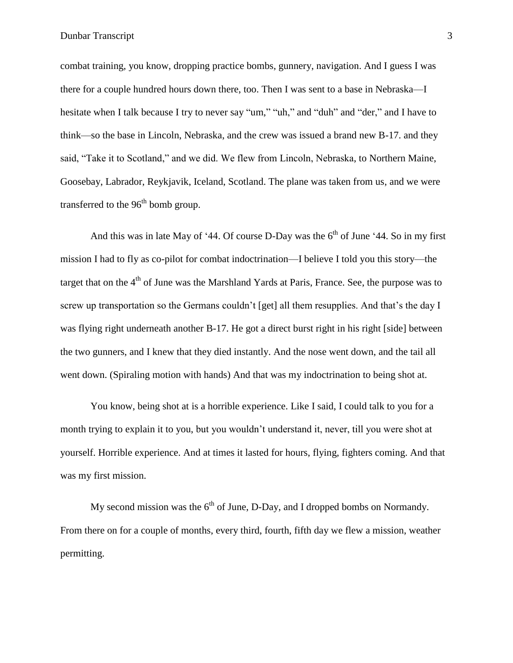combat training, you know, dropping practice bombs, gunnery, navigation. And I guess I was there for a couple hundred hours down there, too. Then I was sent to a base in Nebraska—I hesitate when I talk because I try to never say "um," "uh," and "duh" and "der," and I have to think—so the base in Lincoln, Nebraska, and the crew was issued a brand new B-17. and they said, "Take it to Scotland," and we did. We flew from Lincoln, Nebraska, to Northern Maine, Goosebay, Labrador, Reykjavik, Iceland, Scotland. The plane was taken from us, and we were transferred to the  $96<sup>th</sup>$  bomb group.

And this was in late May of '44. Of course D-Day was the  $6<sup>th</sup>$  of June '44. So in my first mission I had to fly as co-pilot for combat indoctrination—I believe I told you this story—the target that on the  $4<sup>th</sup>$  of June was the Marshland Yards at Paris, France. See, the purpose was to screw up transportation so the Germans couldn't [get] all them resupplies. And that's the day I was flying right underneath another B-17. He got a direct burst right in his right [side] between the two gunners, and I knew that they died instantly. And the nose went down, and the tail all went down. (Spiraling motion with hands) And that was my indoctrination to being shot at.

You know, being shot at is a horrible experience. Like I said, I could talk to you for a month trying to explain it to you, but you wouldn't understand it, never, till you were shot at yourself. Horrible experience. And at times it lasted for hours, flying, fighters coming. And that was my first mission.

My second mission was the  $6<sup>th</sup>$  of June, D-Day, and I dropped bombs on Normandy. From there on for a couple of months, every third, fourth, fifth day we flew a mission, weather permitting.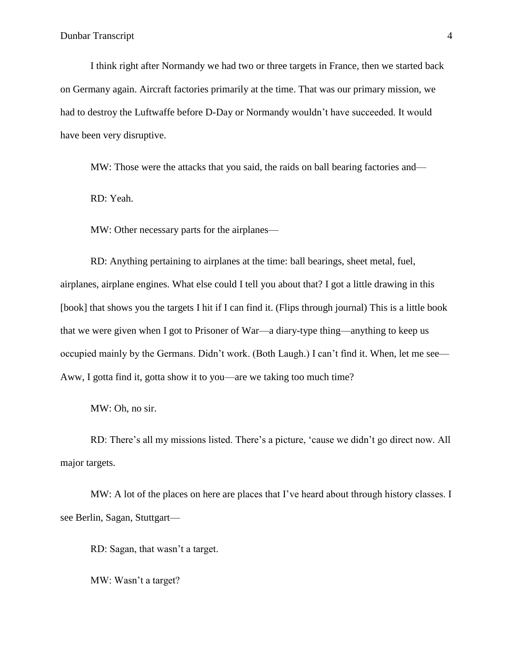I think right after Normandy we had two or three targets in France, then we started back on Germany again. Aircraft factories primarily at the time. That was our primary mission, we had to destroy the Luftwaffe before D-Day or Normandy wouldn't have succeeded. It would have been very disruptive.

MW: Those were the attacks that you said, the raids on ball bearing factories and—

RD: Yeah.

MW: Other necessary parts for the airplanes—

RD: Anything pertaining to airplanes at the time: ball bearings, sheet metal, fuel, airplanes, airplane engines. What else could I tell you about that? I got a little drawing in this [book] that shows you the targets I hit if I can find it. (Flips through journal) This is a little book that we were given when I got to Prisoner of War—a diary-type thing—anything to keep us occupied mainly by the Germans. Didn't work. (Both Laugh.) I can't find it. When, let me see— Aww, I gotta find it, gotta show it to you—are we taking too much time?

MW: Oh, no sir.

RD: There's all my missions listed. There's a picture, 'cause we didn't go direct now. All major targets.

MW: A lot of the places on here are places that I've heard about through history classes. I see Berlin, Sagan, Stuttgart—

RD: Sagan, that wasn't a target.

MW: Wasn't a target?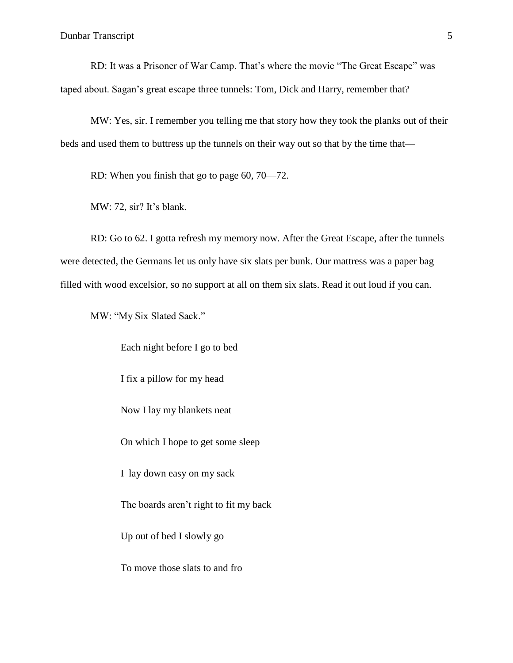RD: It was a Prisoner of War Camp. That's where the movie "The Great Escape" was taped about. Sagan's great escape three tunnels: Tom, Dick and Harry, remember that?

MW: Yes, sir. I remember you telling me that story how they took the planks out of their beds and used them to buttress up the tunnels on their way out so that by the time that—

RD: When you finish that go to page 60, 70—72.

MW: 72, sir? It's blank.

RD: Go to 62. I gotta refresh my memory now. After the Great Escape, after the tunnels were detected, the Germans let us only have six slats per bunk. Our mattress was a paper bag filled with wood excelsior, so no support at all on them six slats. Read it out loud if you can.

MW: "My Six Slated Sack."

Each night before I go to bed I fix a pillow for my head Now I lay my blankets neat On which I hope to get some sleep I lay down easy on my sack The boards aren't right to fit my back Up out of bed I slowly go To move those slats to and fro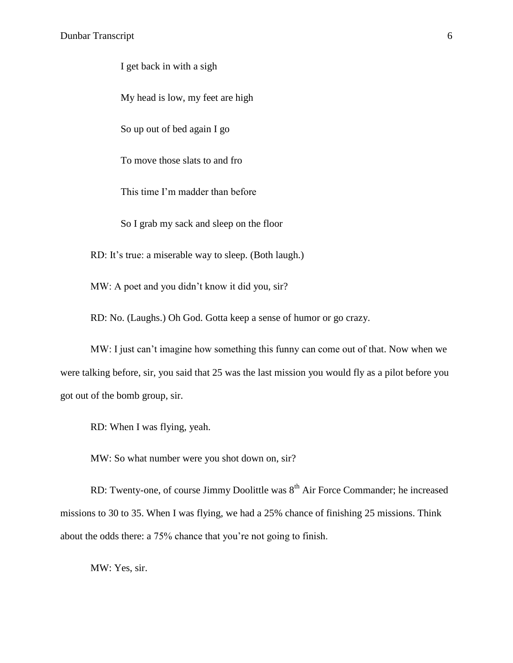I get back in with a sigh

My head is low, my feet are high

So up out of bed again I go

To move those slats to and fro

This time I'm madder than before

So I grab my sack and sleep on the floor

RD: It's true: a miserable way to sleep. (Both laugh.)

MW: A poet and you didn't know it did you, sir?

RD: No. (Laughs.) Oh God. Gotta keep a sense of humor or go crazy.

MW: I just can't imagine how something this funny can come out of that. Now when we were talking before, sir, you said that 25 was the last mission you would fly as a pilot before you got out of the bomb group, sir.

RD: When I was flying, yeah.

MW: So what number were you shot down on, sir?

RD: Twenty-one, of course Jimmy Doolittle was  $8<sup>th</sup>$  Air Force Commander; he increased missions to 30 to 35. When I was flying, we had a 25% chance of finishing 25 missions. Think about the odds there: a 75% chance that you're not going to finish.

MW: Yes, sir.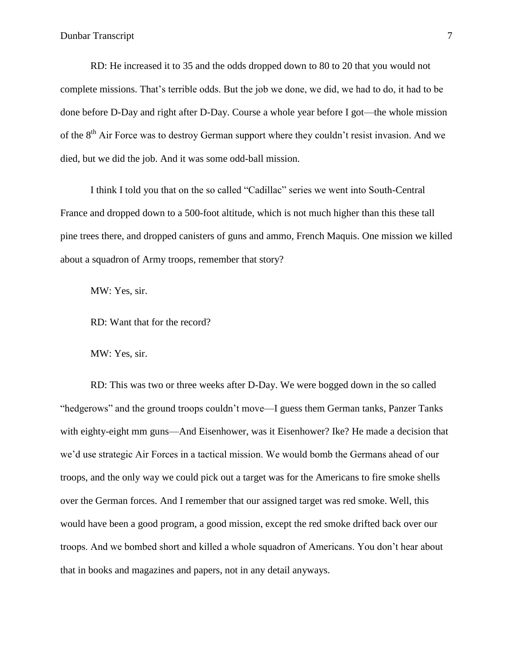RD: He increased it to 35 and the odds dropped down to 80 to 20 that you would not complete missions. That's terrible odds. But the job we done, we did, we had to do, it had to be done before D-Day and right after D-Day. Course a whole year before I got—the whole mission of the  $8<sup>th</sup>$  Air Force was to destroy German support where they couldn't resist invasion. And we died, but we did the job. And it was some odd-ball mission.

I think I told you that on the so called "Cadillac" series we went into South-Central France and dropped down to a 500-foot altitude, which is not much higher than this these tall pine trees there, and dropped canisters of guns and ammo, French Maquis. One mission we killed about a squadron of Army troops, remember that story?

MW: Yes, sir.

RD: Want that for the record?

MW: Yes, sir.

RD: This was two or three weeks after D-Day. We were bogged down in the so called "hedgerows" and the ground troops couldn't move—I guess them German tanks, Panzer Tanks with eighty-eight mm guns—And Eisenhower, was it Eisenhower? Ike? He made a decision that we'd use strategic Air Forces in a tactical mission. We would bomb the Germans ahead of our troops, and the only way we could pick out a target was for the Americans to fire smoke shells over the German forces. And I remember that our assigned target was red smoke. Well, this would have been a good program, a good mission, except the red smoke drifted back over our troops. And we bombed short and killed a whole squadron of Americans. You don't hear about that in books and magazines and papers, not in any detail anyways.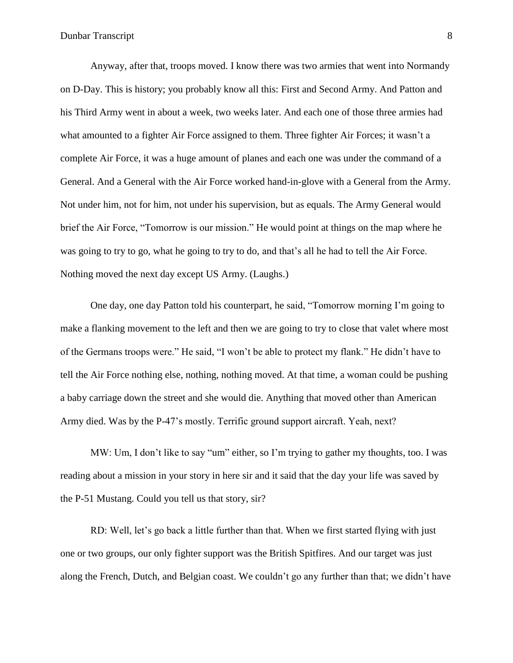Anyway, after that, troops moved. I know there was two armies that went into Normandy on D-Day. This is history; you probably know all this: First and Second Army. And Patton and his Third Army went in about a week, two weeks later. And each one of those three armies had what amounted to a fighter Air Force assigned to them. Three fighter Air Forces; it wasn't a complete Air Force, it was a huge amount of planes and each one was under the command of a General. And a General with the Air Force worked hand-in-glove with a General from the Army. Not under him, not for him, not under his supervision, but as equals. The Army General would brief the Air Force, "Tomorrow is our mission." He would point at things on the map where he was going to try to go, what he going to try to do, and that's all he had to tell the Air Force. Nothing moved the next day except US Army. (Laughs.)

One day, one day Patton told his counterpart, he said, "Tomorrow morning I'm going to make a flanking movement to the left and then we are going to try to close that valet where most of the Germans troops were." He said, "I won't be able to protect my flank." He didn't have to tell the Air Force nothing else, nothing, nothing moved. At that time, a woman could be pushing a baby carriage down the street and she would die. Anything that moved other than American Army died. Was by the P-47's mostly. Terrific ground support aircraft. Yeah, next?

MW: Um, I don't like to say "um" either, so I'm trying to gather my thoughts, too. I was reading about a mission in your story in here sir and it said that the day your life was saved by the P-51 Mustang. Could you tell us that story, sir?

RD: Well, let's go back a little further than that. When we first started flying with just one or two groups, our only fighter support was the British Spitfires. And our target was just along the French, Dutch, and Belgian coast. We couldn't go any further than that; we didn't have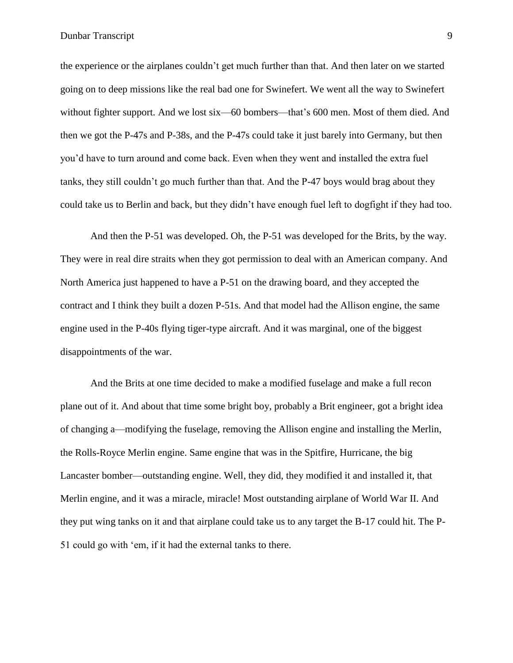the experience or the airplanes couldn't get much further than that. And then later on we started going on to deep missions like the real bad one for Swinefert. We went all the way to Swinefert without fighter support. And we lost six—60 bombers—that's 600 men. Most of them died. And then we got the P-47s and P-38s, and the P-47s could take it just barely into Germany, but then you'd have to turn around and come back. Even when they went and installed the extra fuel tanks, they still couldn't go much further than that. And the P-47 boys would brag about they could take us to Berlin and back, but they didn't have enough fuel left to dogfight if they had too.

And then the P-51 was developed. Oh, the P-51 was developed for the Brits, by the way. They were in real dire straits when they got permission to deal with an American company. And North America just happened to have a P-51 on the drawing board, and they accepted the contract and I think they built a dozen P-51s. And that model had the Allison engine, the same engine used in the P-40s flying tiger-type aircraft. And it was marginal, one of the biggest disappointments of the war.

And the Brits at one time decided to make a modified fuselage and make a full recon plane out of it. And about that time some bright boy, probably a Brit engineer, got a bright idea of changing a—modifying the fuselage, removing the Allison engine and installing the Merlin, the Rolls-Royce Merlin engine. Same engine that was in the Spitfire, Hurricane, the big Lancaster bomber—outstanding engine. Well, they did, they modified it and installed it, that Merlin engine, and it was a miracle, miracle! Most outstanding airplane of World War II. And they put wing tanks on it and that airplane could take us to any target the B-17 could hit. The P-51 could go with 'em, if it had the external tanks to there.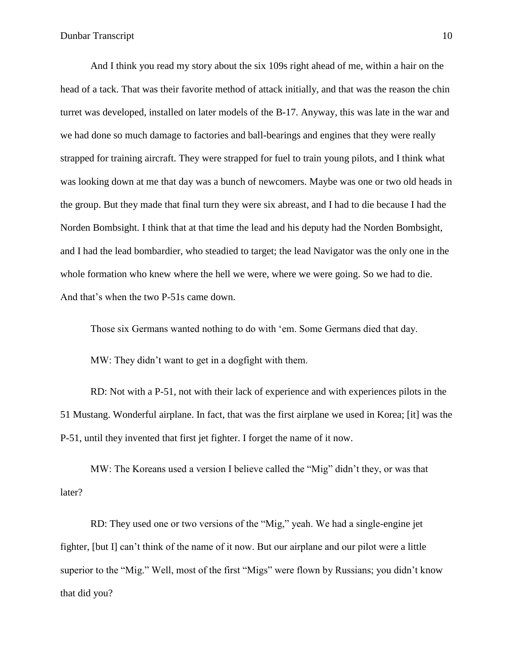And I think you read my story about the six 109s right ahead of me, within a hair on the head of a tack. That was their favorite method of attack initially, and that was the reason the chin turret was developed, installed on later models of the B-17. Anyway, this was late in the war and we had done so much damage to factories and ball-bearings and engines that they were really strapped for training aircraft. They were strapped for fuel to train young pilots, and I think what was looking down at me that day was a bunch of newcomers. Maybe was one or two old heads in the group. But they made that final turn they were six abreast, and I had to die because I had the Norden Bombsight. I think that at that time the lead and his deputy had the Norden Bombsight, and I had the lead bombardier, who steadied to target; the lead Navigator was the only one in the whole formation who knew where the hell we were, where we were going. So we had to die. And that's when the two P-51s came down.

Those six Germans wanted nothing to do with 'em. Some Germans died that day.

MW: They didn't want to get in a dogfight with them.

RD: Not with a P-51, not with their lack of experience and with experiences pilots in the 51 Mustang. Wonderful airplane. In fact, that was the first airplane we used in Korea; [it] was the P-51, until they invented that first jet fighter. I forget the name of it now.

MW: The Koreans used a version I believe called the "Mig" didn't they, or was that later?

RD: They used one or two versions of the "Mig," yeah. We had a single-engine jet fighter, [but I] can't think of the name of it now. But our airplane and our pilot were a little superior to the "Mig." Well, most of the first "Migs" were flown by Russians; you didn't know that did you?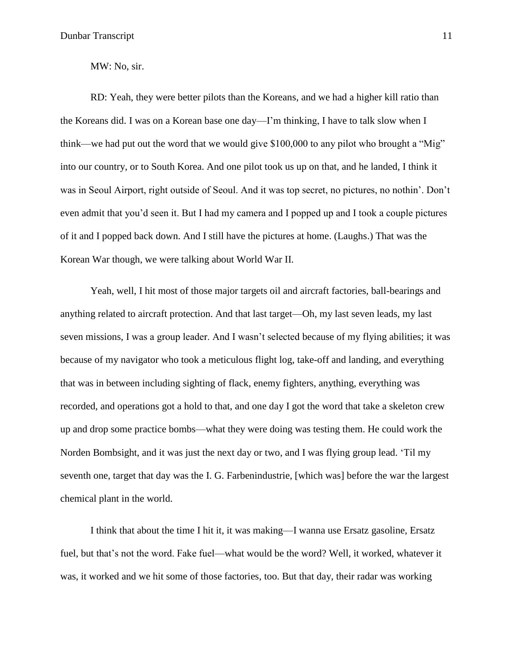MW: No, sir.

RD: Yeah, they were better pilots than the Koreans, and we had a higher kill ratio than the Koreans did. I was on a Korean base one day—I'm thinking, I have to talk slow when I think—we had put out the word that we would give \$100,000 to any pilot who brought a "Mig" into our country, or to South Korea. And one pilot took us up on that, and he landed, I think it was in Seoul Airport, right outside of Seoul. And it was top secret, no pictures, no nothin'. Don't even admit that you'd seen it. But I had my camera and I popped up and I took a couple pictures of it and I popped back down. And I still have the pictures at home. (Laughs.) That was the Korean War though, we were talking about World War II.

Yeah, well, I hit most of those major targets oil and aircraft factories, ball-bearings and anything related to aircraft protection. And that last target—Oh, my last seven leads, my last seven missions, I was a group leader. And I wasn't selected because of my flying abilities; it was because of my navigator who took a meticulous flight log, take-off and landing, and everything that was in between including sighting of flack, enemy fighters, anything, everything was recorded, and operations got a hold to that, and one day I got the word that take a skeleton crew up and drop some practice bombs—what they were doing was testing them. He could work the Norden Bombsight, and it was just the next day or two, and I was flying group lead. 'Til my seventh one, target that day was the I. G. Farbenindustrie, [which was] before the war the largest chemical plant in the world.

I think that about the time I hit it, it was making—I wanna use Ersatz gasoline, Ersatz fuel, but that's not the word. Fake fuel—what would be the word? Well, it worked, whatever it was, it worked and we hit some of those factories, too. But that day, their radar was working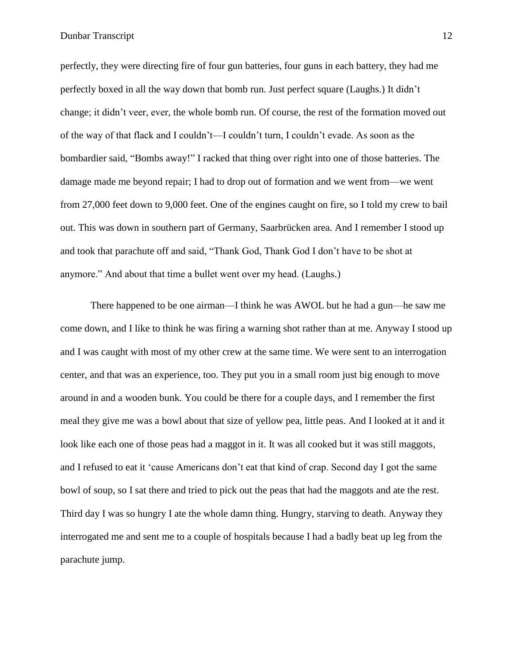perfectly, they were directing fire of four gun batteries, four guns in each battery, they had me perfectly boxed in all the way down that bomb run. Just perfect square (Laughs.) It didn't change; it didn't veer, ever, the whole bomb run. Of course, the rest of the formation moved out of the way of that flack and I couldn't—I couldn't turn, I couldn't evade. As soon as the bombardier said, "Bombs away!" I racked that thing over right into one of those batteries. The damage made me beyond repair; I had to drop out of formation and we went from—we went from 27,000 feet down to 9,000 feet. One of the engines caught on fire, so I told my crew to bail out. This was down in southern part of Germany, Saarbrücken area. And I remember I stood up and took that parachute off and said, "Thank God, Thank God I don't have to be shot at anymore." And about that time a bullet went over my head. (Laughs.)

There happened to be one airman—I think he was AWOL but he had a gun—he saw me come down, and I like to think he was firing a warning shot rather than at me. Anyway I stood up and I was caught with most of my other crew at the same time. We were sent to an interrogation center, and that was an experience, too. They put you in a small room just big enough to move around in and a wooden bunk. You could be there for a couple days, and I remember the first meal they give me was a bowl about that size of yellow pea, little peas. And I looked at it and it look like each one of those peas had a maggot in it. It was all cooked but it was still maggots, and I refused to eat it 'cause Americans don't eat that kind of crap. Second day I got the same bowl of soup, so I sat there and tried to pick out the peas that had the maggots and ate the rest. Third day I was so hungry I ate the whole damn thing. Hungry, starving to death. Anyway they interrogated me and sent me to a couple of hospitals because I had a badly beat up leg from the parachute jump.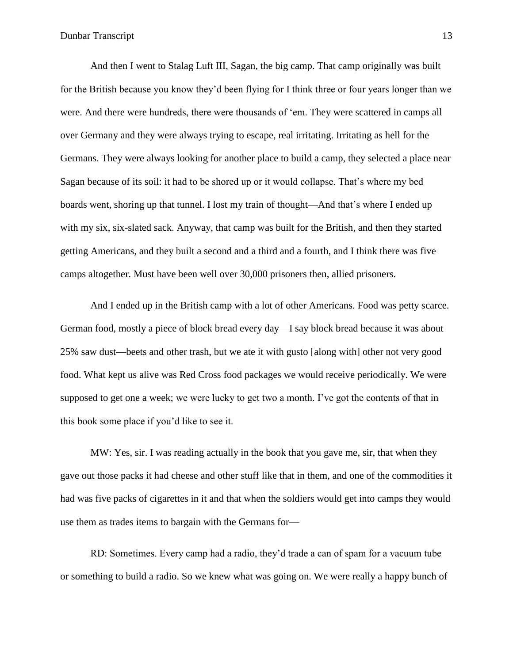And then I went to Stalag Luft III, Sagan, the big camp. That camp originally was built for the British because you know they'd been flying for I think three or four years longer than we were. And there were hundreds, there were thousands of 'em. They were scattered in camps all over Germany and they were always trying to escape, real irritating. Irritating as hell for the Germans. They were always looking for another place to build a camp, they selected a place near Sagan because of its soil: it had to be shored up or it would collapse. That's where my bed boards went, shoring up that tunnel. I lost my train of thought—And that's where I ended up with my six, six-slated sack. Anyway, that camp was built for the British, and then they started getting Americans, and they built a second and a third and a fourth, and I think there was five camps altogether. Must have been well over 30,000 prisoners then, allied prisoners.

And I ended up in the British camp with a lot of other Americans. Food was petty scarce. German food, mostly a piece of block bread every day—I say block bread because it was about 25% saw dust—beets and other trash, but we ate it with gusto [along with] other not very good food. What kept us alive was Red Cross food packages we would receive periodically. We were supposed to get one a week; we were lucky to get two a month. I've got the contents of that in this book some place if you'd like to see it.

MW: Yes, sir. I was reading actually in the book that you gave me, sir, that when they gave out those packs it had cheese and other stuff like that in them, and one of the commodities it had was five packs of cigarettes in it and that when the soldiers would get into camps they would use them as trades items to bargain with the Germans for—

RD: Sometimes. Every camp had a radio, they'd trade a can of spam for a vacuum tube or something to build a radio. So we knew what was going on. We were really a happy bunch of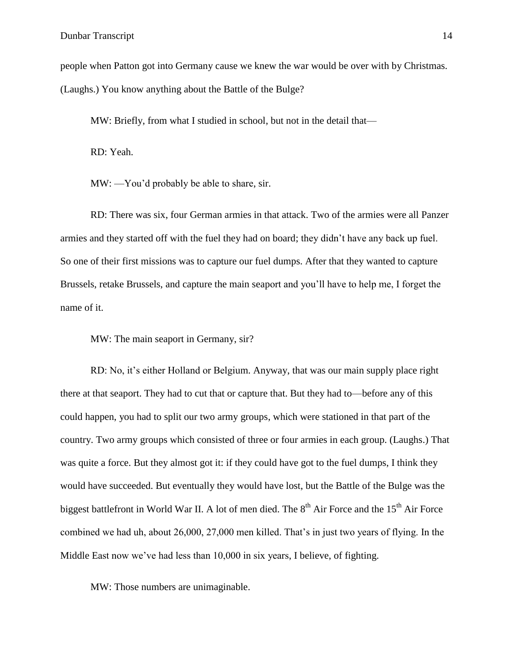people when Patton got into Germany cause we knew the war would be over with by Christmas. (Laughs.) You know anything about the Battle of the Bulge?

MW: Briefly, from what I studied in school, but not in the detail that—

RD: Yeah.

MW: —You'd probably be able to share, sir.

RD: There was six, four German armies in that attack. Two of the armies were all Panzer armies and they started off with the fuel they had on board; they didn't have any back up fuel. So one of their first missions was to capture our fuel dumps. After that they wanted to capture Brussels, retake Brussels, and capture the main seaport and you'll have to help me, I forget the name of it.

MW: The main seaport in Germany, sir?

RD: No, it's either Holland or Belgium. Anyway, that was our main supply place right there at that seaport. They had to cut that or capture that. But they had to—before any of this could happen, you had to split our two army groups, which were stationed in that part of the country. Two army groups which consisted of three or four armies in each group. (Laughs.) That was quite a force. But they almost got it: if they could have got to the fuel dumps, I think they would have succeeded. But eventually they would have lost, but the Battle of the Bulge was the biggest battlefront in World War II. A lot of men died. The 8<sup>th</sup> Air Force and the 15<sup>th</sup> Air Force combined we had uh, about 26,000, 27,000 men killed. That's in just two years of flying. In the Middle East now we've had less than 10,000 in six years, I believe, of fighting.

MW: Those numbers are unimaginable.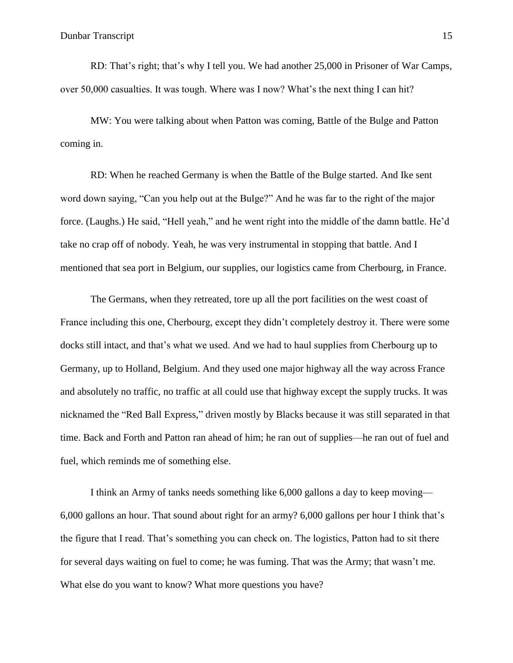RD: That's right; that's why I tell you. We had another 25,000 in Prisoner of War Camps, over 50,000 casualties. It was tough. Where was I now? What's the next thing I can hit?

MW: You were talking about when Patton was coming, Battle of the Bulge and Patton coming in.

RD: When he reached Germany is when the Battle of the Bulge started. And Ike sent word down saying, "Can you help out at the Bulge?" And he was far to the right of the major force. (Laughs.) He said, "Hell yeah," and he went right into the middle of the damn battle. He'd take no crap off of nobody. Yeah, he was very instrumental in stopping that battle. And I mentioned that sea port in Belgium, our supplies, our logistics came from Cherbourg, in France.

The Germans, when they retreated, tore up all the port facilities on the west coast of France including this one, Cherbourg, except they didn't completely destroy it. There were some docks still intact, and that's what we used. And we had to haul supplies from Cherbourg up to Germany, up to Holland, Belgium. And they used one major highway all the way across France and absolutely no traffic, no traffic at all could use that highway except the supply trucks. It was nicknamed the "Red Ball Express," driven mostly by Blacks because it was still separated in that time. Back and Forth and Patton ran ahead of him; he ran out of supplies—he ran out of fuel and fuel, which reminds me of something else.

I think an Army of tanks needs something like 6,000 gallons a day to keep moving— 6,000 gallons an hour. That sound about right for an army? 6,000 gallons per hour I think that's the figure that I read. That's something you can check on. The logistics, Patton had to sit there for several days waiting on fuel to come; he was fuming. That was the Army; that wasn't me. What else do you want to know? What more questions you have?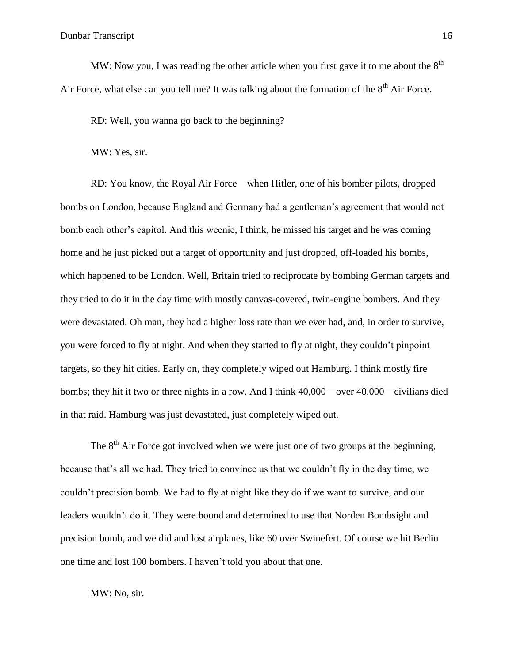MW: Now you, I was reading the other article when you first gave it to me about the  $8<sup>th</sup>$ Air Force, what else can you tell me? It was talking about the formation of the  $8<sup>th</sup>$  Air Force.

RD: Well, you wanna go back to the beginning?

MW: Yes, sir.

RD: You know, the Royal Air Force—when Hitler, one of his bomber pilots, dropped bombs on London, because England and Germany had a gentleman's agreement that would not bomb each other's capitol. And this weenie, I think, he missed his target and he was coming home and he just picked out a target of opportunity and just dropped, off-loaded his bombs, which happened to be London. Well, Britain tried to reciprocate by bombing German targets and they tried to do it in the day time with mostly canvas-covered, twin-engine bombers. And they were devastated. Oh man, they had a higher loss rate than we ever had, and, in order to survive, you were forced to fly at night. And when they started to fly at night, they couldn't pinpoint targets, so they hit cities. Early on, they completely wiped out Hamburg. I think mostly fire bombs; they hit it two or three nights in a row. And I think 40,000—over 40,000—civilians died in that raid. Hamburg was just devastated, just completely wiped out.

The  $8<sup>th</sup>$  Air Force got involved when we were just one of two groups at the beginning, because that's all we had. They tried to convince us that we couldn't fly in the day time, we couldn't precision bomb. We had to fly at night like they do if we want to survive, and our leaders wouldn't do it. They were bound and determined to use that Norden Bombsight and precision bomb, and we did and lost airplanes, like 60 over Swinefert. Of course we hit Berlin one time and lost 100 bombers. I haven't told you about that one.

MW: No, sir.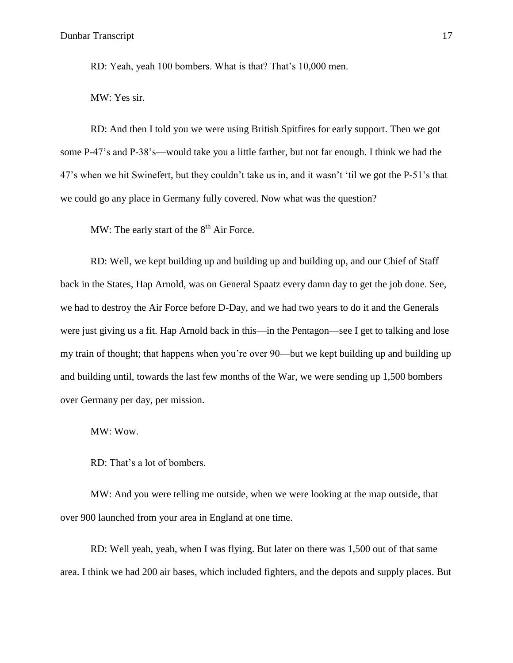RD: Yeah, yeah 100 bombers. What is that? That's 10,000 men.

MW: Yes sir.

RD: And then I told you we were using British Spitfires for early support. Then we got some P-47's and P-38's—would take you a little farther, but not far enough. I think we had the 47's when we hit Swinefert, but they couldn't take us in, and it wasn't 'til we got the P-51's that we could go any place in Germany fully covered. Now what was the question?

MW: The early start of the  $8<sup>th</sup>$  Air Force.

RD: Well, we kept building up and building up and building up, and our Chief of Staff back in the States, Hap Arnold, was on General Spaatz every damn day to get the job done. See, we had to destroy the Air Force before D-Day, and we had two years to do it and the Generals were just giving us a fit. Hap Arnold back in this—in the Pentagon—see I get to talking and lose my train of thought; that happens when you're over 90—but we kept building up and building up and building until, towards the last few months of the War, we were sending up 1,500 bombers over Germany per day, per mission.

MW: Wow.

RD: That's a lot of bombers.

MW: And you were telling me outside, when we were looking at the map outside, that over 900 launched from your area in England at one time.

RD: Well yeah, yeah, when I was flying. But later on there was 1,500 out of that same area. I think we had 200 air bases, which included fighters, and the depots and supply places. But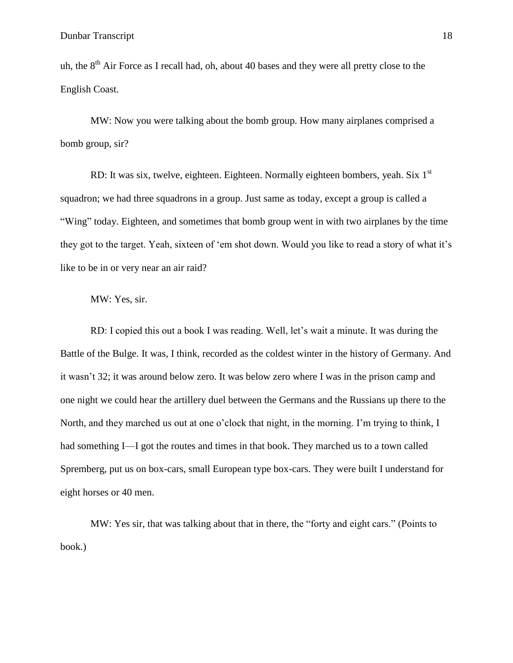uh, the  $8<sup>th</sup>$  Air Force as I recall had, oh, about 40 bases and they were all pretty close to the English Coast.

MW: Now you were talking about the bomb group. How many airplanes comprised a bomb group, sir?

RD: It was six, twelve, eighteen. Eighteen. Normally eighteen bombers, yeah. Six  $1<sup>st</sup>$ squadron; we had three squadrons in a group. Just same as today, except a group is called a "Wing" today. Eighteen, and sometimes that bomb group went in with two airplanes by the time they got to the target. Yeah, sixteen of 'em shot down. Would you like to read a story of what it's like to be in or very near an air raid?

# MW: Yes, sir.

RD: I copied this out a book I was reading. Well, let's wait a minute. It was during the Battle of the Bulge. It was, I think, recorded as the coldest winter in the history of Germany. And it wasn't 32; it was around below zero. It was below zero where I was in the prison camp and one night we could hear the artillery duel between the Germans and the Russians up there to the North, and they marched us out at one o'clock that night, in the morning. I'm trying to think, I had something I—I got the routes and times in that book. They marched us to a town called Spremberg, put us on box-cars, small European type box-cars. They were built I understand for eight horses or 40 men.

MW: Yes sir, that was talking about that in there, the "forty and eight cars." (Points to book.)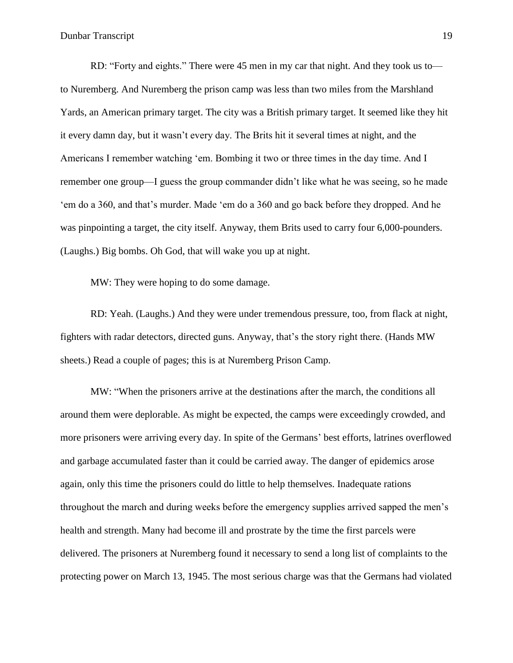RD: "Forty and eights." There were 45 men in my car that night. And they took us to to Nuremberg. And Nuremberg the prison camp was less than two miles from the Marshland Yards, an American primary target. The city was a British primary target. It seemed like they hit it every damn day, but it wasn't every day. The Brits hit it several times at night, and the Americans I remember watching 'em. Bombing it two or three times in the day time. And I remember one group—I guess the group commander didn't like what he was seeing, so he made 'em do a 360, and that's murder. Made 'em do a 360 and go back before they dropped. And he was pinpointing a target, the city itself. Anyway, them Brits used to carry four 6,000-pounders. (Laughs.) Big bombs. Oh God, that will wake you up at night.

MW: They were hoping to do some damage.

RD: Yeah. (Laughs.) And they were under tremendous pressure, too, from flack at night, fighters with radar detectors, directed guns. Anyway, that's the story right there. (Hands MW sheets.) Read a couple of pages; this is at Nuremberg Prison Camp.

MW: "When the prisoners arrive at the destinations after the march, the conditions all around them were deplorable. As might be expected, the camps were exceedingly crowded, and more prisoners were arriving every day. In spite of the Germans' best efforts, latrines overflowed and garbage accumulated faster than it could be carried away. The danger of epidemics arose again, only this time the prisoners could do little to help themselves. Inadequate rations throughout the march and during weeks before the emergency supplies arrived sapped the men's health and strength. Many had become ill and prostrate by the time the first parcels were delivered. The prisoners at Nuremberg found it necessary to send a long list of complaints to the protecting power on March 13, 1945. The most serious charge was that the Germans had violated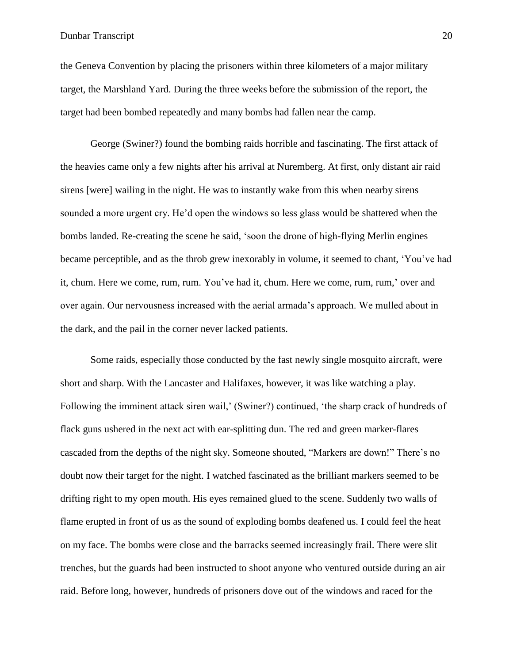### Dunbar Transcript 20

the Geneva Convention by placing the prisoners within three kilometers of a major military target, the Marshland Yard. During the three weeks before the submission of the report, the target had been bombed repeatedly and many bombs had fallen near the camp.

George (Swiner?) found the bombing raids horrible and fascinating. The first attack of the heavies came only a few nights after his arrival at Nuremberg. At first, only distant air raid sirens [were] wailing in the night. He was to instantly wake from this when nearby sirens sounded a more urgent cry. He'd open the windows so less glass would be shattered when the bombs landed. Re-creating the scene he said, 'soon the drone of high-flying Merlin engines became perceptible, and as the throb grew inexorably in volume, it seemed to chant, 'You've had it, chum. Here we come, rum, rum. You've had it, chum. Here we come, rum, rum,' over and over again. Our nervousness increased with the aerial armada's approach. We mulled about in the dark, and the pail in the corner never lacked patients.

Some raids, especially those conducted by the fast newly single mosquito aircraft, were short and sharp. With the Lancaster and Halifaxes, however, it was like watching a play. Following the imminent attack siren wail,' (Swiner?) continued, 'the sharp crack of hundreds of flack guns ushered in the next act with ear-splitting dun. The red and green marker-flares cascaded from the depths of the night sky. Someone shouted, "Markers are down!" There's no doubt now their target for the night. I watched fascinated as the brilliant markers seemed to be drifting right to my open mouth. His eyes remained glued to the scene. Suddenly two walls of flame erupted in front of us as the sound of exploding bombs deafened us. I could feel the heat on my face. The bombs were close and the barracks seemed increasingly frail. There were slit trenches, but the guards had been instructed to shoot anyone who ventured outside during an air raid. Before long, however, hundreds of prisoners dove out of the windows and raced for the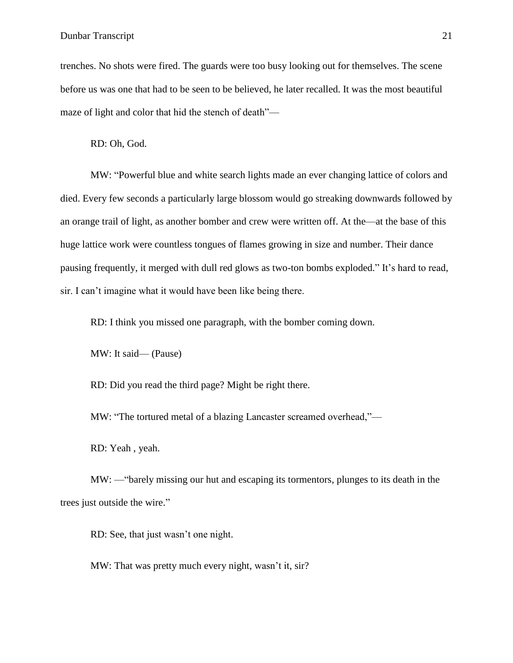Dunbar Transcript 21

trenches. No shots were fired. The guards were too busy looking out for themselves. The scene before us was one that had to be seen to be believed, he later recalled. It was the most beautiful maze of light and color that hid the stench of death"—

RD: Oh, God.

MW: "Powerful blue and white search lights made an ever changing lattice of colors and died. Every few seconds a particularly large blossom would go streaking downwards followed by an orange trail of light, as another bomber and crew were written off. At the—at the base of this huge lattice work were countless tongues of flames growing in size and number. Their dance pausing frequently, it merged with dull red glows as two-ton bombs exploded." It's hard to read, sir. I can't imagine what it would have been like being there.

RD: I think you missed one paragraph, with the bomber coming down.

MW: It said— (Pause)

RD: Did you read the third page? Might be right there.

MW: "The tortured metal of a blazing Lancaster screamed overhead,"—

RD: Yeah , yeah.

MW: —"barely missing our hut and escaping its tormentors, plunges to its death in the trees just outside the wire."

RD: See, that just wasn't one night.

MW: That was pretty much every night, wasn't it, sir?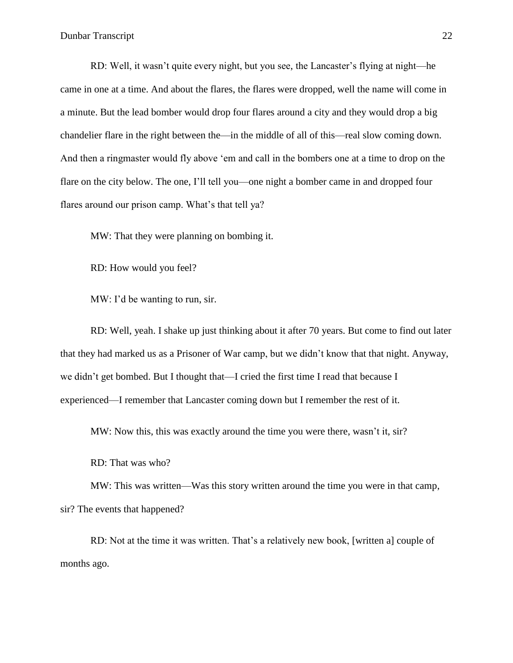RD: Well, it wasn't quite every night, but you see, the Lancaster's flying at night—he came in one at a time. And about the flares, the flares were dropped, well the name will come in a minute. But the lead bomber would drop four flares around a city and they would drop a big chandelier flare in the right between the—in the middle of all of this—real slow coming down. And then a ringmaster would fly above 'em and call in the bombers one at a time to drop on the flare on the city below. The one, I'll tell you—one night a bomber came in and dropped four flares around our prison camp. What's that tell ya?

MW: That they were planning on bombing it.

RD: How would you feel?

MW: I'd be wanting to run, sir.

RD: Well, yeah. I shake up just thinking about it after 70 years. But come to find out later that they had marked us as a Prisoner of War camp, but we didn't know that that night. Anyway, we didn't get bombed. But I thought that—I cried the first time I read that because I experienced—I remember that Lancaster coming down but I remember the rest of it.

MW: Now this, this was exactly around the time you were there, wasn't it, sir?

RD: That was who?

MW: This was written—Was this story written around the time you were in that camp, sir? The events that happened?

RD: Not at the time it was written. That's a relatively new book, [written a] couple of months ago.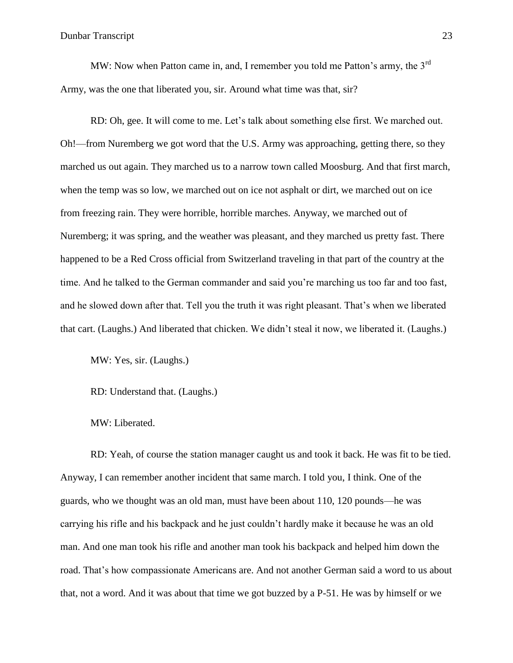MW: Now when Patton came in, and, I remember you told me Patton's army, the  $3<sup>rd</sup>$ Army, was the one that liberated you, sir. Around what time was that, sir?

RD: Oh, gee. It will come to me. Let's talk about something else first. We marched out. Oh!—from Nuremberg we got word that the U.S. Army was approaching, getting there, so they marched us out again. They marched us to a narrow town called Moosburg. And that first march, when the temp was so low, we marched out on ice not asphalt or dirt, we marched out on ice from freezing rain. They were horrible, horrible marches. Anyway, we marched out of Nuremberg; it was spring, and the weather was pleasant, and they marched us pretty fast. There happened to be a Red Cross official from Switzerland traveling in that part of the country at the time. And he talked to the German commander and said you're marching us too far and too fast, and he slowed down after that. Tell you the truth it was right pleasant. That's when we liberated that cart. (Laughs.) And liberated that chicken. We didn't steal it now, we liberated it. (Laughs.)

MW: Yes, sir. (Laughs.)

RD: Understand that. (Laughs.)

#### MW: Liberated.

RD: Yeah, of course the station manager caught us and took it back. He was fit to be tied. Anyway, I can remember another incident that same march. I told you, I think. One of the guards, who we thought was an old man, must have been about 110, 120 pounds—he was carrying his rifle and his backpack and he just couldn't hardly make it because he was an old man. And one man took his rifle and another man took his backpack and helped him down the road. That's how compassionate Americans are. And not another German said a word to us about that, not a word. And it was about that time we got buzzed by a P-51. He was by himself or we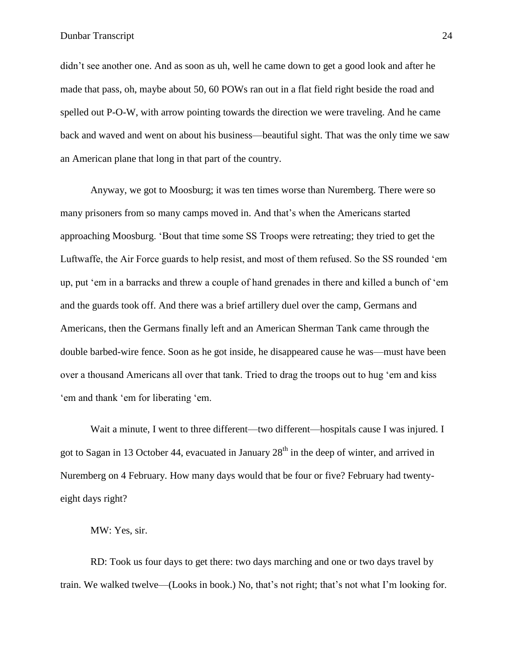didn't see another one. And as soon as uh, well he came down to get a good look and after he made that pass, oh, maybe about 50, 60 POWs ran out in a flat field right beside the road and spelled out P-O-W, with arrow pointing towards the direction we were traveling. And he came back and waved and went on about his business—beautiful sight. That was the only time we saw an American plane that long in that part of the country.

Anyway, we got to Moosburg; it was ten times worse than Nuremberg. There were so many prisoners from so many camps moved in. And that's when the Americans started approaching Moosburg. 'Bout that time some SS Troops were retreating; they tried to get the Luftwaffe, the Air Force guards to help resist, and most of them refused. So the SS rounded 'em up, put 'em in a barracks and threw a couple of hand grenades in there and killed a bunch of 'em and the guards took off. And there was a brief artillery duel over the camp, Germans and Americans, then the Germans finally left and an American Sherman Tank came through the double barbed-wire fence. Soon as he got inside, he disappeared cause he was—must have been over a thousand Americans all over that tank. Tried to drag the troops out to hug 'em and kiss 'em and thank 'em for liberating 'em.

Wait a minute, I went to three different—two different—hospitals cause I was injured. I got to Sagan in 13 October 44, evacuated in January  $28<sup>th</sup>$  in the deep of winter, and arrived in Nuremberg on 4 February. How many days would that be four or five? February had twentyeight days right?

MW: Yes, sir.

RD: Took us four days to get there: two days marching and one or two days travel by train. We walked twelve—(Looks in book.) No, that's not right; that's not what I'm looking for.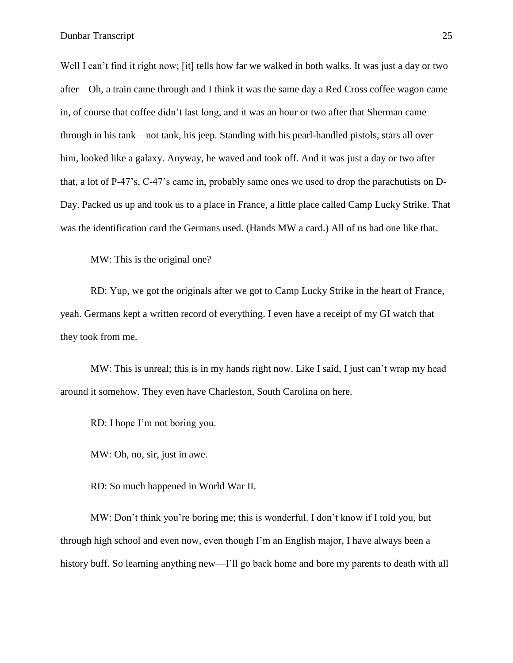Well I can't find it right now; [it] tells how far we walked in both walks. It was just a day or two after—Oh, a train came through and I think it was the same day a Red Cross coffee wagon came in, of course that coffee didn't last long, and it was an hour or two after that Sherman came through in his tank—not tank, his jeep. Standing with his pearl-handled pistols, stars all over him, looked like a galaxy. Anyway, he waved and took off. And it was just a day or two after that, a lot of P-47's, C-47's came in, probably same ones we used to drop the parachutists on D-Day. Packed us up and took us to a place in France, a little place called Camp Lucky Strike. That was the identification card the Germans used. (Hands MW a card.) All of us had one like that.

MW: This is the original one?

RD: Yup, we got the originals after we got to Camp Lucky Strike in the heart of France, yeah. Germans kept a written record of everything. I even have a receipt of my GI watch that they took from me.

MW: This is unreal; this is in my hands right now. Like I said, I just can't wrap my head around it somehow. They even have Charleston, South Carolina on here.

RD: I hope I'm not boring you.

MW: Oh, no, sir, just in awe.

RD: So much happened in World War II.

MW: Don't think you're boring me; this is wonderful. I don't know if I told you, but through high school and even now, even though I'm an English major, I have always been a history buff. So learning anything new—I'll go back home and bore my parents to death with all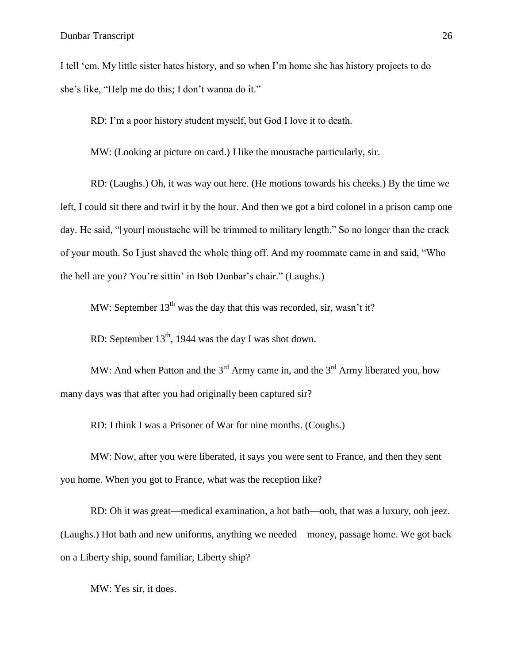I tell 'em. My little sister hates history, and so when I'm home she has history projects to do she's like, "Help me do this; I don't wanna do it."

RD: I'm a poor history student myself, but God I love it to death.

MW: (Looking at picture on card.) I like the moustache particularly, sir.

RD: (Laughs.) Oh, it was way out here. (He motions towards his cheeks.) By the time we left, I could sit there and twirl it by the hour. And then we got a bird colonel in a prison camp one day. He said, "[your] moustache will be trimmed to military length." So no longer than the crack of your mouth. So I just shaved the whole thing off. And my roommate came in and said, "Who the hell are you? You're sittin' in Bob Dunbar's chair." (Laughs.)

MW: September  $13<sup>th</sup>$  was the day that this was recorded, sir, wasn't it?

RD: September  $13<sup>th</sup>$ , 1944 was the day I was shot down.

MW: And when Patton and the  $3^{rd}$  Army came in, and the  $3^{rd}$  Army liberated you, how many days was that after you had originally been captured sir?

RD: I think I was a Prisoner of War for nine months. (Coughs.)

MW: Now, after you were liberated, it says you were sent to France, and then they sent you home. When you got to France, what was the reception like?

RD: Oh it was great—medical examination, a hot bath—ooh, that was a luxury, ooh jeez. (Laughs.) Hot bath and new uniforms, anything we needed—money, passage home. We got back on a Liberty ship, sound familiar, Liberty ship?

MW: Yes sir, it does.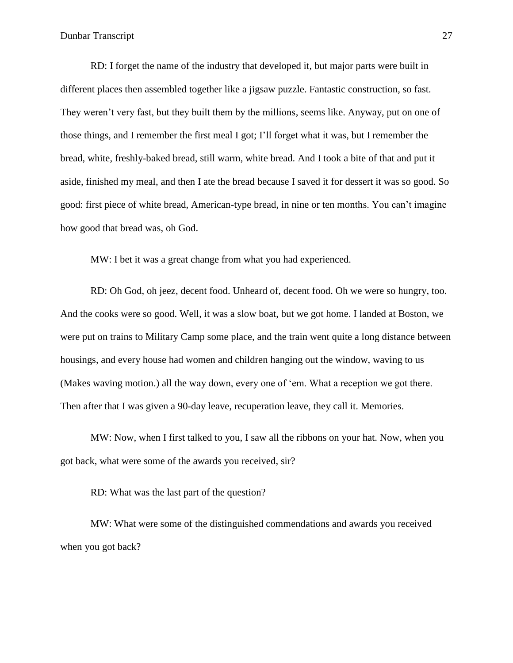RD: I forget the name of the industry that developed it, but major parts were built in different places then assembled together like a jigsaw puzzle. Fantastic construction, so fast. They weren't very fast, but they built them by the millions, seems like. Anyway, put on one of those things, and I remember the first meal I got; I'll forget what it was, but I remember the bread, white, freshly-baked bread, still warm, white bread. And I took a bite of that and put it aside, finished my meal, and then I ate the bread because I saved it for dessert it was so good. So good: first piece of white bread, American-type bread, in nine or ten months. You can't imagine how good that bread was, oh God.

MW: I bet it was a great change from what you had experienced.

RD: Oh God, oh jeez, decent food. Unheard of, decent food. Oh we were so hungry, too. And the cooks were so good. Well, it was a slow boat, but we got home. I landed at Boston, we were put on trains to Military Camp some place, and the train went quite a long distance between housings, and every house had women and children hanging out the window, waving to us (Makes waving motion.) all the way down, every one of 'em. What a reception we got there. Then after that I was given a 90-day leave, recuperation leave, they call it. Memories.

MW: Now, when I first talked to you, I saw all the ribbons on your hat. Now, when you got back, what were some of the awards you received, sir?

RD: What was the last part of the question?

MW: What were some of the distinguished commendations and awards you received when you got back?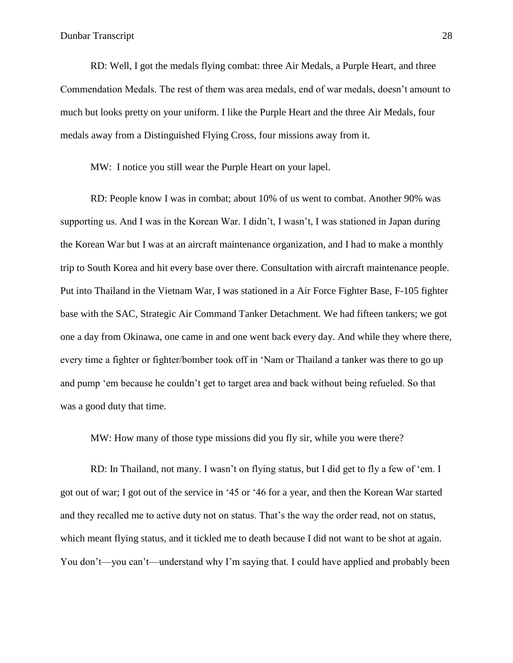RD: Well, I got the medals flying combat: three Air Medals, a Purple Heart, and three Commendation Medals. The rest of them was area medals, end of war medals, doesn't amount to much but looks pretty on your uniform. I like the Purple Heart and the three Air Medals, four medals away from a Distinguished Flying Cross, four missions away from it.

MW: I notice you still wear the Purple Heart on your lapel.

RD: People know I was in combat; about 10% of us went to combat. Another 90% was supporting us. And I was in the Korean War. I didn't, I wasn't, I was stationed in Japan during the Korean War but I was at an aircraft maintenance organization, and I had to make a monthly trip to South Korea and hit every base over there. Consultation with aircraft maintenance people. Put into Thailand in the Vietnam War, I was stationed in a Air Force Fighter Base, F-105 fighter base with the SAC, Strategic Air Command Tanker Detachment. We had fifteen tankers; we got one a day from Okinawa, one came in and one went back every day. And while they where there, every time a fighter or fighter/bomber took off in 'Nam or Thailand a tanker was there to go up and pump 'em because he couldn't get to target area and back without being refueled. So that was a good duty that time.

MW: How many of those type missions did you fly sir, while you were there?

RD: In Thailand, not many. I wasn't on flying status, but I did get to fly a few of 'em. I got out of war; I got out of the service in '45 or '46 for a year, and then the Korean War started and they recalled me to active duty not on status. That's the way the order read, not on status, which meant flying status, and it tickled me to death because I did not want to be shot at again. You don't—you can't—understand why I'm saying that. I could have applied and probably been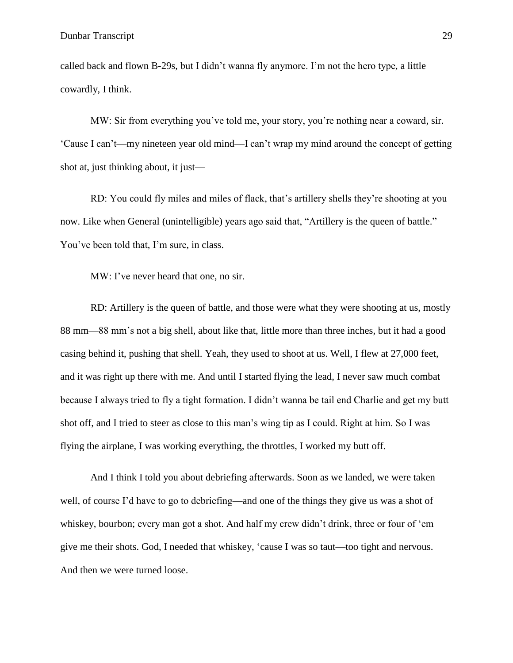called back and flown B-29s, but I didn't wanna fly anymore. I'm not the hero type, a little cowardly, I think.

MW: Sir from everything you've told me, your story, you're nothing near a coward, sir. 'Cause I can't—my nineteen year old mind—I can't wrap my mind around the concept of getting shot at, just thinking about, it just—

RD: You could fly miles and miles of flack, that's artillery shells they're shooting at you now. Like when General (unintelligible) years ago said that, "Artillery is the queen of battle." You've been told that, I'm sure, in class.

MW: I've never heard that one, no sir.

RD: Artillery is the queen of battle, and those were what they were shooting at us, mostly 88 mm—88 mm's not a big shell, about like that, little more than three inches, but it had a good casing behind it, pushing that shell. Yeah, they used to shoot at us. Well, I flew at 27,000 feet, and it was right up there with me. And until I started flying the lead, I never saw much combat because I always tried to fly a tight formation. I didn't wanna be tail end Charlie and get my butt shot off, and I tried to steer as close to this man's wing tip as I could. Right at him. So I was flying the airplane, I was working everything, the throttles, I worked my butt off.

And I think I told you about debriefing afterwards. Soon as we landed, we were taken well, of course I'd have to go to debriefing—and one of the things they give us was a shot of whiskey, bourbon; every man got a shot. And half my crew didn't drink, three or four of 'em give me their shots. God, I needed that whiskey, 'cause I was so taut—too tight and nervous. And then we were turned loose.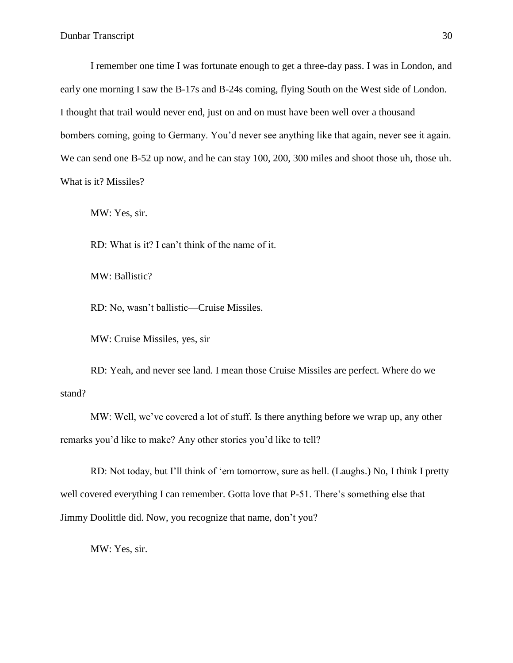I remember one time I was fortunate enough to get a three-day pass. I was in London, and early one morning I saw the B-17s and B-24s coming, flying South on the West side of London. I thought that trail would never end, just on and on must have been well over a thousand bombers coming, going to Germany. You'd never see anything like that again, never see it again. We can send one B-52 up now, and he can stay 100, 200, 300 miles and shoot those uh, those uh. What is it? Missiles?

MW: Yes, sir.

RD: What is it? I can't think of the name of it.

MW: Ballistic?

RD: No, wasn't ballistic—Cruise Missiles.

MW: Cruise Missiles, yes, sir

RD: Yeah, and never see land. I mean those Cruise Missiles are perfect. Where do we stand?

MW: Well, we've covered a lot of stuff. Is there anything before we wrap up, any other remarks you'd like to make? Any other stories you'd like to tell?

RD: Not today, but I'll think of 'em tomorrow, sure as hell. (Laughs.) No, I think I pretty well covered everything I can remember. Gotta love that P-51. There's something else that Jimmy Doolittle did. Now, you recognize that name, don't you?

MW: Yes, sir.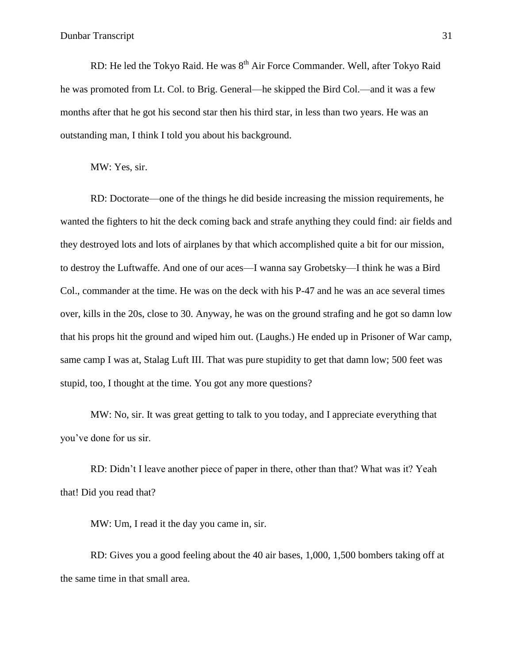RD: He led the Tokyo Raid. He was  $8<sup>th</sup>$  Air Force Commander. Well, after Tokyo Raid he was promoted from Lt. Col. to Brig. General—he skipped the Bird Col.—and it was a few months after that he got his second star then his third star, in less than two years. He was an outstanding man, I think I told you about his background.

MW: Yes, sir.

RD: Doctorate—one of the things he did beside increasing the mission requirements, he wanted the fighters to hit the deck coming back and strafe anything they could find: air fields and they destroyed lots and lots of airplanes by that which accomplished quite a bit for our mission, to destroy the Luftwaffe. And one of our aces—I wanna say Grobetsky—I think he was a Bird Col., commander at the time. He was on the deck with his P-47 and he was an ace several times over, kills in the 20s, close to 30. Anyway, he was on the ground strafing and he got so damn low that his props hit the ground and wiped him out. (Laughs.) He ended up in Prisoner of War camp, same camp I was at, Stalag Luft III. That was pure stupidity to get that damn low; 500 feet was stupid, too, I thought at the time. You got any more questions?

MW: No, sir. It was great getting to talk to you today, and I appreciate everything that you've done for us sir.

RD: Didn't I leave another piece of paper in there, other than that? What was it? Yeah that! Did you read that?

MW: Um, I read it the day you came in, sir.

RD: Gives you a good feeling about the 40 air bases, 1,000, 1,500 bombers taking off at the same time in that small area.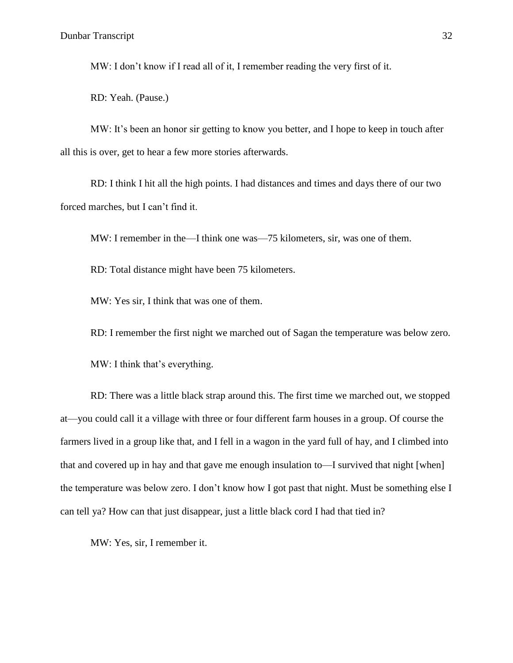MW: I don't know if I read all of it, I remember reading the very first of it.

RD: Yeah. (Pause.)

MW: It's been an honor sir getting to know you better, and I hope to keep in touch after all this is over, get to hear a few more stories afterwards.

RD: I think I hit all the high points. I had distances and times and days there of our two forced marches, but I can't find it.

MW: I remember in the—I think one was—75 kilometers, sir, was one of them.

RD: Total distance might have been 75 kilometers.

MW: Yes sir, I think that was one of them.

RD: I remember the first night we marched out of Sagan the temperature was below zero.

MW: I think that's everything.

RD: There was a little black strap around this. The first time we marched out, we stopped at—you could call it a village with three or four different farm houses in a group. Of course the farmers lived in a group like that, and I fell in a wagon in the yard full of hay, and I climbed into that and covered up in hay and that gave me enough insulation to—I survived that night [when] the temperature was below zero. I don't know how I got past that night. Must be something else I can tell ya? How can that just disappear, just a little black cord I had that tied in?

MW: Yes, sir, I remember it.